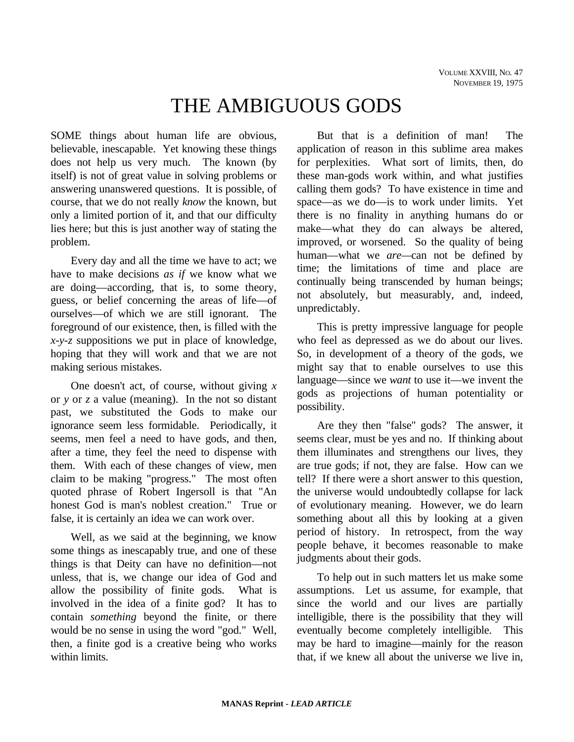# THE AMBIGUOUS GODS

SOME things about human life are obvious, believable, inescapable. Yet knowing these things does not help us very much. The known (by itself) is not of great value in solving problems or answering unanswered questions. It is possible, of course, that we do not really *know* the known, but only a limited portion of it, and that our difficulty lies here; but this is just another way of stating the problem.

Every day and all the time we have to act; we have to make decisions *as if* we know what we are doing—according, that is, to some theory, guess, or belief concerning the areas of life—of ourselves—of which we are still ignorant. The foreground of our existence, then, is filled with the *x-y-z* suppositions we put in place of knowledge, hoping that they will work and that we are not making serious mistakes.

One doesn't act, of course, without giving *x* or *y* or *z* a value (meaning). In the not so distant past, we substituted the Gods to make our ignorance seem less formidable. Periodically, it seems, men feel a need to have gods, and then, after a time, they feel the need to dispense with them. With each of these changes of view, men claim to be making "progress." The most often quoted phrase of Robert Ingersoll is that "An honest God is man's noblest creation." True or false, it is certainly an idea we can work over.

Well, as we said at the beginning, we know some things as inescapably true, and one of these things is that Deity can have no definition—not unless, that is, we change our idea of God and allow the possibility of finite gods. What is involved in the idea of a finite god? It has to contain *something* beyond the finite, or there would be no sense in using the word "god." Well, then, a finite god is a creative being who works within limits.

But that is a definition of man! The application of reason in this sublime area makes for perplexities. What sort of limits, then, do these man-gods work within, and what justifies calling them gods? To have existence in time and space—as we do—is to work under limits. Yet there is no finality in anything humans do or make—what they do can always be altered, improved, or worsened. So the quality of being human—what we *are—*can not be defined by time; the limitations of time and place are continually being transcended by human beings; not absolutely, but measurably, and, indeed, unpredictably.

This is pretty impressive language for people who feel as depressed as we do about our lives. So, in development of a theory of the gods, we might say that to enable ourselves to use this language—since we *want* to use it—we invent the gods as projections of human potentiality or possibility.

Are they then "false" gods? The answer, it seems clear, must be yes and no. If thinking about them illuminates and strengthens our lives, they are true gods; if not, they are false. How can we tell? If there were a short answer to this question, the universe would undoubtedly collapse for lack of evolutionary meaning. However, we do learn something about all this by looking at a given period of history. In retrospect, from the way people behave, it becomes reasonable to make judgments about their gods.

To help out in such matters let us make some assumptions. Let us assume, for example, that since the world and our lives are partially intelligible, there is the possibility that they will eventually become completely intelligible. This may be hard to imagine—mainly for the reason that, if we knew all about the universe we live in,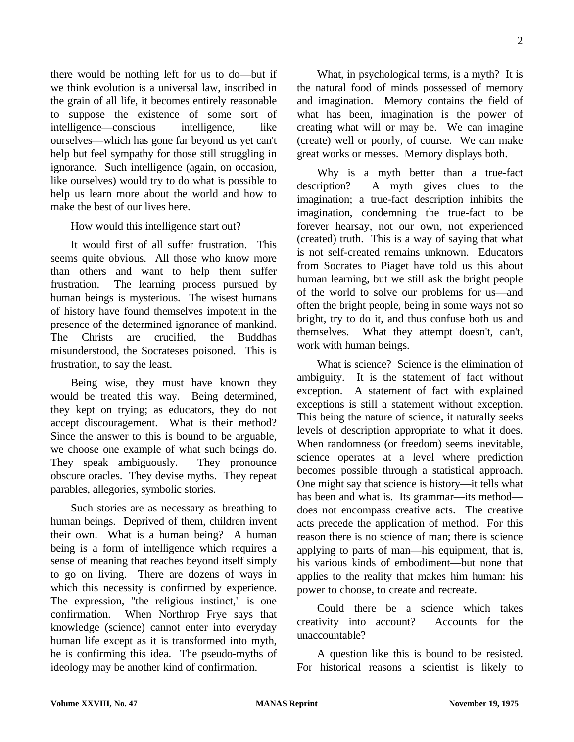there would be nothing left for us to do—but if we think evolution is a universal law, inscribed in the grain of all life, it becomes entirely reasonable to suppose the existence of some sort of intelligence—conscious intelligence, like ourselves—which has gone far beyond us yet can't help but feel sympathy for those still struggling in ignorance. Such intelligence (again, on occasion, like ourselves) would try to do what is possible to help us learn more about the world and how to make the best of our lives here.

How would this intelligence start out?

It would first of all suffer frustration. This seems quite obvious. All those who know more than others and want to help them suffer frustration. The learning process pursued by human beings is mysterious. The wisest humans of history have found themselves impotent in the presence of the determined ignorance of mankind. The Christs are crucified, the Buddhas misunderstood, the Socrateses poisoned. This is frustration, to say the least.

Being wise, they must have known they would be treated this way. Being determined, they kept on trying; as educators, they do not accept discouragement. What is their method? Since the answer to this is bound to be arguable, we choose one example of what such beings do. They speak ambiguously. They pronounce obscure oracles. They devise myths. They repeat parables, allegories, symbolic stories.

Such stories are as necessary as breathing to human beings. Deprived of them, children invent their own. What is a human being? A human being is a form of intelligence which requires a sense of meaning that reaches beyond itself simply to go on living. There are dozens of ways in which this necessity is confirmed by experience. The expression, "the religious instinct," is one confirmation. When Northrop Frye says that knowledge (science) cannot enter into everyday human life except as it is transformed into myth, he is confirming this idea. The pseudo-myths of ideology may be another kind of confirmation.

What, in psychological terms, is a myth? It is the natural food of minds possessed of memory and imagination. Memory contains the field of what has been, imagination is the power of creating what will or may be. We can imagine (create) well or poorly, of course. We can make great works or messes. Memory displays both.

Why is a myth better than a true-fact description? A myth gives clues to the imagination; a true-fact description inhibits the imagination, condemning the true-fact to be forever hearsay, not our own, not experienced (created) truth. This is a way of saying that what is not self-created remains unknown. Educators from Socrates to Piaget have told us this about human learning, but we still ask the bright people of the world to solve our problems for us—and often the bright people, being in some ways not so bright, try to do it, and thus confuse both us and themselves. What they attempt doesn't, can't, work with human beings.

What is science? Science is the elimination of ambiguity. It is the statement of fact without exception. A statement of fact with explained exceptions is still a statement without exception. This being the nature of science, it naturally seeks levels of description appropriate to what it does. When randomness (or freedom) seems inevitable, science operates at a level where prediction becomes possible through a statistical approach. One might say that science is history—it tells what has been and what is. Its grammar—its method does not encompass creative acts. The creative acts precede the application of method. For this reason there is no science of man; there is science applying to parts of man—his equipment, that is, his various kinds of embodiment—but none that applies to the reality that makes him human: his power to choose, to create and recreate.

Could there be a science which takes creativity into account? Accounts for the unaccountable?

A question like this is bound to be resisted. For historical reasons a scientist is likely to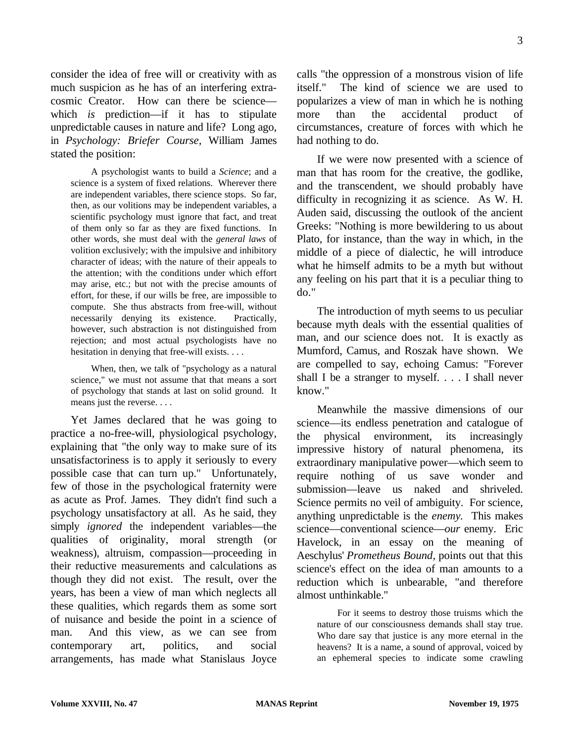consider the idea of free will or creativity with as much suspicion as he has of an interfering extracosmic Creator. How can there be science which *is* prediction—if it has to stipulate unpredictable causes in nature and life? Long ago, in *Psychology: Briefer Course,* William James stated the position:

A psychologist wants to build a *Science*; and a science is a system of fixed relations. Wherever there are independent variables, there science stops. So far, then, as our volitions may be independent variables, a scientific psychology must ignore that fact, and treat of them only so far as they are fixed functions. In other words, she must deal with the *general laws* of volition exclusively; with the impulsive and inhibitory character of ideas; with the nature of their appeals to the attention; with the conditions under which effort may arise, etc.; but not with the precise amounts of effort, for these, if our wills be free, are impossible to compute. She thus abstracts from free-will, without necessarily denying its existence. Practically, however, such abstraction is not distinguished from rejection; and most actual psychologists have no hesitation in denying that free-will exists. . . .

When, then, we talk of "psychology as a natural science," we must not assume that that means a sort of psychology that stands at last on solid ground. It means just the reverse. . . .

Yet James declared that he was going to practice a no-free-will, physiological psychology, explaining that "the only way to make sure of its unsatisfactoriness is to apply it seriously to every possible case that can turn up." Unfortunately, few of those in the psychological fraternity were as acute as Prof. James. They didn't find such a psychology unsatisfactory at all. As he said, they simply *ignored* the independent variables—the qualities of originality, moral strength (or weakness), altruism, compassion—proceeding in their reductive measurements and calculations as though they did not exist. The result, over the years, has been a view of man which neglects all these qualities, which regards them as some sort of nuisance and beside the point in a science of man. And this view, as we can see from contemporary art, politics, and social arrangements, has made what Stanislaus Joyce

calls "the oppression of a monstrous vision of life itself." The kind of science we are used to popularizes a view of man in which he is nothing more than the accidental product of circumstances, creature of forces with which he had nothing to do.

If we were now presented with a science of man that has room for the creative, the godlike, and the transcendent, we should probably have difficulty in recognizing it as science. As W. H. Auden said, discussing the outlook of the ancient Greeks: "Nothing is more bewildering to us about Plato, for instance, than the way in which, in the middle of a piece of dialectic, he will introduce what he himself admits to be a myth but without any feeling on his part that it is a peculiar thing to do."

The introduction of myth seems to us peculiar because myth deals with the essential qualities of man, and our science does not. It is exactly as Mumford, Camus, and Roszak have shown. We are compelled to say, echoing Camus: "Forever shall I be a stranger to myself. . . . I shall never know."

Meanwhile the massive dimensions of our science—its endless penetration and catalogue of the physical environment, its increasingly impressive history of natural phenomena, its extraordinary manipulative power—which seem to require nothing of us save wonder and submission—leave us naked and shriveled. Science permits no veil of ambiguity. For science, anything unpredictable is the *enemy.* This makes science—conventional science—*our* enemy. Eric Havelock, in an essay on the meaning of Aeschylus' *Prometheus Bound,* points out that this science's effect on the idea of man amounts to a reduction which is unbearable, "and therefore almost unthinkable."

For it seems to destroy those truisms which the nature of our consciousness demands shall stay true. Who dare say that justice is any more eternal in the heavens? It is a name, a sound of approval, voiced by an ephemeral species to indicate some crawling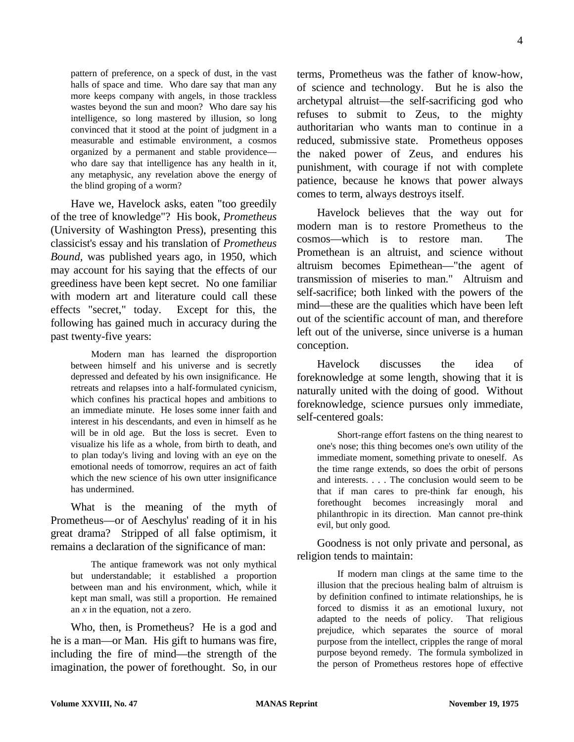pattern of preference, on a speck of dust, in the vast halls of space and time. Who dare say that man any more keeps company with angels, in those trackless wastes beyond the sun and moon? Who dare say his intelligence, so long mastered by illusion, so long convinced that it stood at the point of judgment in a measurable and estimable environment, a cosmos organized by a permanent and stable providence who dare say that intelligence has any health in it, any metaphysic, any revelation above the energy of the blind groping of a worm?

Have we, Havelock asks, eaten "too greedily of the tree of knowledge"? His book, *Prometheus* (University of Washington Press), presenting this classicist's essay and his translation of *Prometheus Bound,* was published years ago, in 1950, which may account for his saying that the effects of our greediness have been kept secret. No one familiar with modern art and literature could call these effects "secret," today. Except for this, the following has gained much in accuracy during the past twenty-five years:

Modern man has learned the disproportion between himself and his universe and is secretly depressed and defeated by his own insignificance. He retreats and relapses into a half-formulated cynicism, which confines his practical hopes and ambitions to an immediate minute. He loses some inner faith and interest in his descendants, and even in himself as he will be in old age. But the loss is secret. Even to visualize his life as a whole, from birth to death, and to plan today's living and loving with an eye on the emotional needs of tomorrow, requires an act of faith which the new science of his own utter insignificance has undermined.

What is the meaning of the myth of Prometheus—or of Aeschylus' reading of it in his great drama? Stripped of all false optimism, it remains a declaration of the significance of man:

The antique framework was not only mythical but understandable; it established a proportion between man and his environment, which, while it kept man small, was still a proportion. He remained an *x* in the equation, not a zero.

Who, then, is Prometheus? He is a god and he is a man—or Man. His gift to humans was fire, including the fire of mind—the strength of the imagination, the power of forethought. So, in our terms, Prometheus was the father of know-how, of science and technology. But he is also the archetypal altruist—the self-sacrificing god who refuses to submit to Zeus, to the mighty authoritarian who wants man to continue in a reduced, submissive state. Prometheus opposes the naked power of Zeus, and endures his punishment, with courage if not with complete patience, because he knows that power always comes to term, always destroys itself.

Havelock believes that the way out for modern man is to restore Prometheus to the cosmos—which is to restore man. The Promethean is an altruist, and science without altruism becomes Epimethean—"the agent of transmission of miseries to man." Altruism and self-sacrifice; both linked with the powers of the mind—these are the qualities which have been left out of the scientific account of man, and therefore left out of the universe, since universe is a human conception.

Havelock discusses the idea of foreknowledge at some length, showing that it is naturally united with the doing of good. Without foreknowledge, science pursues only immediate, self-centered goals:

Short-range effort fastens on the thing nearest to one's nose; this thing becomes one's own utility of the immediate moment, something private to oneself. As the time range extends, so does the orbit of persons and interests. . . . The conclusion would seem to be that if man cares to pre-think far enough, his forethought becomes increasingly moral and philanthropic in its direction. Man cannot pre-think evil, but only good.

Goodness is not only private and personal, as religion tends to maintain:

If modern man clings at the same time to the illusion that the precious healing balm of altruism is by definition confined to intimate relationships, he is forced to dismiss it as an emotional luxury, not adapted to the needs of policy. That religious prejudice, which separates the source of moral purpose from the intellect, cripples the range of moral purpose beyond remedy. The formula symbolized in the person of Prometheus restores hope of effective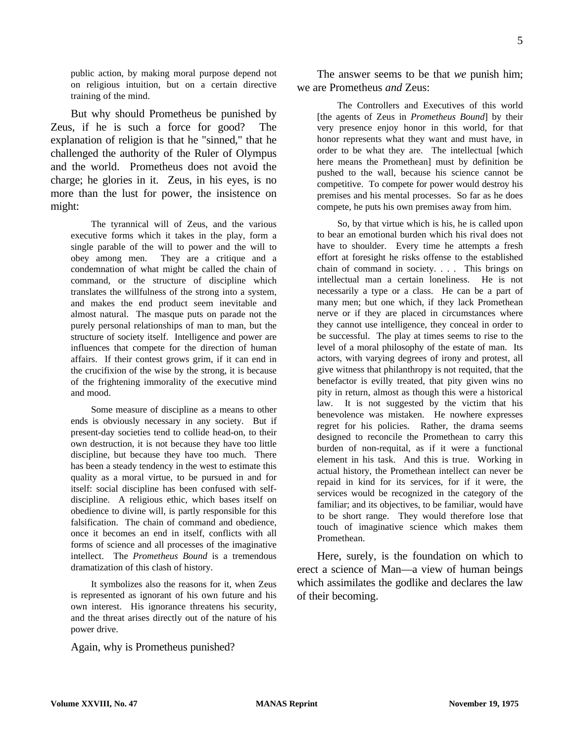public action, by making moral purpose depend not on religious intuition, but on a certain directive training of the mind.

But why should Prometheus be punished by Zeus, if he is such a force for good? The explanation of religion is that he "sinned," that he challenged the authority of the Ruler of Olympus and the world. Prometheus does not avoid the charge; he glories in it. Zeus, in his eyes, is no more than the lust for power, the insistence on might:

The tyrannical will of Zeus, and the various executive forms which it takes in the play, form a single parable of the will to power and the will to obey among men. They are a critique and a condemnation of what might be called the chain of command, or the structure of discipline which translates the willfulness of the strong into a system, and makes the end product seem inevitable and almost natural. The masque puts on parade not the purely personal relationships of man to man, but the structure of society itself. Intelligence and power are influences that compete for the direction of human affairs. If their contest grows grim, if it can end in the crucifixion of the wise by the strong, it is because of the frightening immorality of the executive mind and mood.

Some measure of discipline as a means to other ends is obviously necessary in any society. But if present-day societies tend to collide head-on, to their own destruction, it is not because they have too little discipline, but because they have too much. There has been a steady tendency in the west to estimate this quality as a moral virtue, to be pursued in and for itself: social discipline has been confused with selfdiscipline. A religious ethic, which bases itself on obedience to divine will, is partly responsible for this falsification. The chain of command and obedience, once it becomes an end in itself, conflicts with all forms of science and all processes of the imaginative intellect. The *Prometheus Bound* is a tremendous dramatization of this clash of history.

It symbolizes also the reasons for it, when Zeus is represented as ignorant of his own future and his own interest. His ignorance threatens his security, and the threat arises directly out of the nature of his power drive.

Again, why is Prometheus punished?

The answer seems to be that *we* punish him; we are Prometheus *and* Zeus:

The Controllers and Executives of this world [the agents of Zeus in *Prometheus Bound*] by their very presence enjoy honor in this world, for that honor represents what they want and must have, in order to be what they are. The intellectual [which here means the Promethean] must by definition be pushed to the wall, because his science cannot be competitive. To compete for power would destroy his premises and his mental processes. So far as he does compete, he puts his own premises away from him.

So, by that virtue which is his, he is called upon to bear an emotional burden which his rival does not have to shoulder. Every time he attempts a fresh effort at foresight he risks offense to the established chain of command in society. . . . This brings on intellectual man a certain loneliness. He is not necessarily a type or a class. He can be a part of many men; but one which, if they lack Promethean nerve or if they are placed in circumstances where they cannot use intelligence, they conceal in order to be successful. The play at times seems to rise to the level of a moral philosophy of the estate of man. Its actors, with varying degrees of irony and protest, all give witness that philanthropy is not requited, that the benefactor is evilly treated, that pity given wins no pity in return, almost as though this were a historical law. It is not suggested by the victim that his benevolence was mistaken. He nowhere expresses regret for his policies. Rather, the drama seems designed to reconcile the Promethean to carry this burden of non-requital, as if it were a functional element in his task. And this is true. Working in actual history, the Promethean intellect can never be repaid in kind for its services, for if it were, the services would be recognized in the category of the familiar; and its objectives, to be familiar, would have to be short range. They would therefore lose that touch of imaginative science which makes them Promethean.

Here, surely, is the foundation on which to erect a science of Man—a view of human beings which assimilates the godlike and declares the law of their becoming.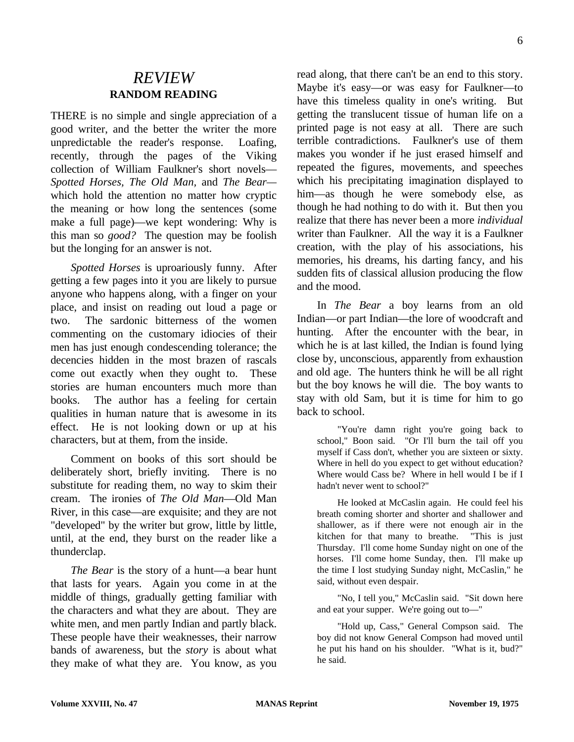### *REVIEW* **RANDOM READING**

THERE is no simple and single appreciation of a good writer, and the better the writer the more unpredictable the reader's response. Loafing, recently, through the pages of the Viking collection of William Faulkner's short novels— *Spotted Horses, The Old Man,* and *The Bear* which hold the attention no matter how cryptic the meaning or how long the sentences (some make a full page)—we kept wondering: Why is this man so *good?* The question may be foolish but the longing for an answer is not.

*Spotted Horses* is uproariously funny. After getting a few pages into it you are likely to pursue anyone who happens along, with a finger on your place, and insist on reading out loud a page or two. The sardonic bitterness of the women commenting on the customary idiocies of their men has just enough condescending tolerance; the decencies hidden in the most brazen of rascals come out exactly when they ought to. These stories are human encounters much more than books. The author has a feeling for certain qualities in human nature that is awesome in its effect. He is not looking down or up at his characters, but at them, from the inside.

Comment on books of this sort should be deliberately short, briefly inviting. There is no substitute for reading them, no way to skim their cream. The ironies of *The Old Man*—Old Man River, in this case—are exquisite; and they are not "developed" by the writer but grow, little by little, until, at the end, they burst on the reader like a thunderclap.

*The Bear* is the story of a hunt—a bear hunt that lasts for years. Again you come in at the middle of things, gradually getting familiar with the characters and what they are about. They are white men, and men partly Indian and partly black. These people have their weaknesses, their narrow bands of awareness, but the *story* is about what they make of what they are. You know, as you read along, that there can't be an end to this story. Maybe it's easy—or was easy for Faulkner—to have this timeless quality in one's writing. But getting the translucent tissue of human life on a printed page is not easy at all. There are such terrible contradictions. Faulkner's use of them makes you wonder if he just erased himself and repeated the figures, movements, and speeches which his precipitating imagination displayed to him—as though he were somebody else, as though he had nothing to do with it. But then you realize that there has never been a more *individual* writer than Faulkner. All the way it is a Faulkner creation, with the play of his associations, his memories, his dreams, his darting fancy, and his sudden fits of classical allusion producing the flow and the mood.

In *The Bear* a boy learns from an old Indian—or part Indian—the lore of woodcraft and hunting. After the encounter with the bear, in which he is at last killed, the Indian is found lying close by, unconscious, apparently from exhaustion and old age. The hunters think he will be all right but the boy knows he will die. The boy wants to stay with old Sam, but it is time for him to go back to school.

"You're damn right you're going back to school," Boon said. "Or I'll burn the tail off you myself if Cass don't, whether you are sixteen or sixty. Where in hell do you expect to get without education? Where would Cass be? Where in hell would I be if I hadn't never went to school?"

He looked at McCaslin again. He could feel his breath coming shorter and shorter and shallower and shallower, as if there were not enough air in the kitchen for that many to breathe. "This is just Thursday. I'll come home Sunday night on one of the horses. I'll come home Sunday, then. I'll make up the time I lost studying Sunday night, McCaslin," he said, without even despair.

"No, I tell you," McCaslin said. "Sit down here and eat your supper. We're going out to—"

"Hold up, Cass," General Compson said. The boy did not know General Compson had moved until he put his hand on his shoulder. "What is it, bud?" he said.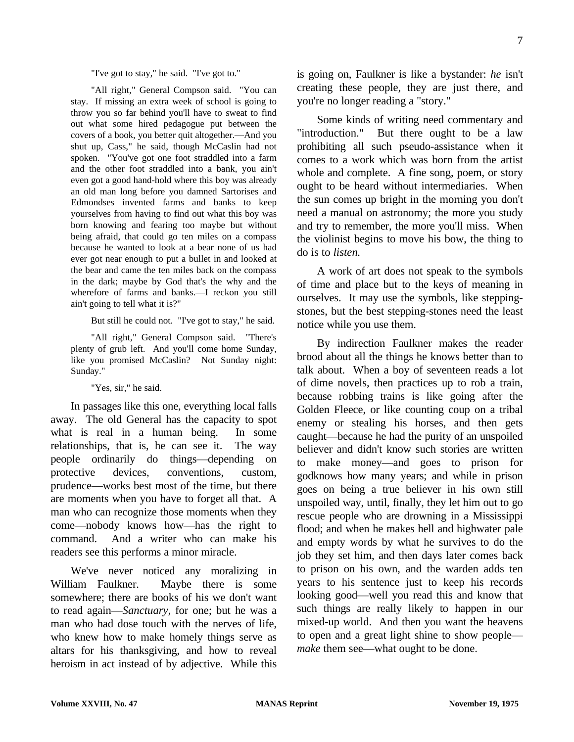"I've got to stay," he said. "I've got to."

"All right," General Compson said. "You can stay. If missing an extra week of school is going to throw you so far behind you'll have to sweat to find out what some hired pedagogue put between the covers of a book, you better quit altogether.—And you shut up, Cass," he said, though McCaslin had not spoken. "You've got one foot straddled into a farm and the other foot straddled into a bank, you ain't even got a good hand-hold where this boy was already an old man long before you damned Sartorises and Edmondses invented farms and banks to keep yourselves from having to find out what this boy was born knowing and fearing too maybe but without being afraid, that could go ten miles on a compass because he wanted to look at a bear none of us had ever got near enough to put a bullet in and looked at the bear and came the ten miles back on the compass in the dark; maybe by God that's the why and the wherefore of farms and banks.—I reckon you still ain't going to tell what it is?"

But still he could not. "I've got to stay," he said.

"All right," General Compson said. "There's plenty of grub left. And you'll come home Sunday, like you promised McCaslin? Not Sunday night: Sunday."

"Yes, sir," he said.

In passages like this one, everything local falls away. The old General has the capacity to spot what is real in a human being. In some relationships, that is, he can see it. The way people ordinarily do things—depending on protective devices, conventions, custom, prudence—works best most of the time, but there are moments when you have to forget all that. A man who can recognize those moments when they come—nobody knows how—has the right to command. And a writer who can make his readers see this performs a minor miracle.

We've never noticed any moralizing in William Faulkner. Maybe there is some somewhere; there are books of his we don't want to read again—*Sanctuary,* for one; but he was a man who had dose touch with the nerves of life, who knew how to make homely things serve as altars for his thanksgiving, and how to reveal heroism in act instead of by adjective. While this

is going on, Faulkner is like a bystander: *he* isn't creating these people, they are just there, and you're no longer reading a "story."

Some kinds of writing need commentary and "introduction." But there ought to be a law prohibiting all such pseudo-assistance when it comes to a work which was born from the artist whole and complete. A fine song, poem, or story ought to be heard without intermediaries. When the sun comes up bright in the morning you don't need a manual on astronomy; the more you study and try to remember, the more you'll miss. When the violinist begins to move his bow, the thing to do is to *listen.*

A work of art does not speak to the symbols of time and place but to the keys of meaning in ourselves. It may use the symbols, like steppingstones, but the best stepping-stones need the least notice while you use them.

By indirection Faulkner makes the reader brood about all the things he knows better than to talk about. When a boy of seventeen reads a lot of dime novels, then practices up to rob a train, because robbing trains is like going after the Golden Fleece, or like counting coup on a tribal enemy or stealing his horses, and then gets caught—because he had the purity of an unspoiled believer and didn't know such stories are written to make money—and goes to prison for godknows how many years; and while in prison goes on being a true believer in his own still unspoiled way, until, finally, they let him out to go rescue people who are drowning in a Mississippi flood; and when he makes hell and highwater pale and empty words by what he survives to do the job they set him, and then days later comes back to prison on his own, and the warden adds ten years to his sentence just to keep his records looking good—well you read this and know that such things are really likely to happen in our mixed-up world. And then you want the heavens to open and a great light shine to show people *make* them see—what ought to be done.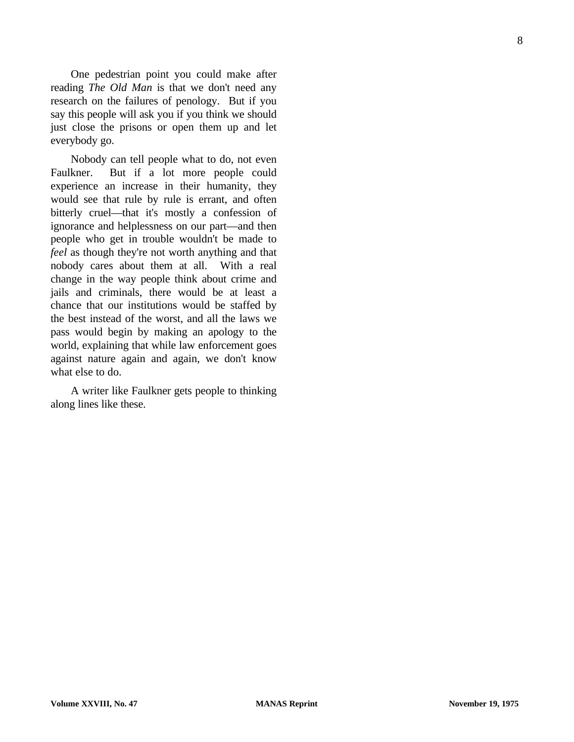One pedestrian point you could make after reading *The Old Man* is that we don't need any research on the failures of penology. But if you say this people will ask you if you think we should just close the prisons or open them up and let everybody go.

Nobody can tell people what to do, not even Faulkner. But if a lot more people could experience an increase in their humanity, they would see that rule by rule is errant, and often bitterly cruel—that it's mostly a confession of ignorance and helplessness on our part—and then people who get in trouble wouldn't be made to *feel* as though they're not worth anything and that nobody cares about them at all. With a real change in the way people think about crime and jails and criminals, there would be at least a chance that our institutions would be staffed by the best instead of the worst, and all the laws we pass would begin by making an apology to the world, explaining that while law enforcement goes against nature again and again, we don't know what else to do.

A writer like Faulkner gets people to thinking along lines like these.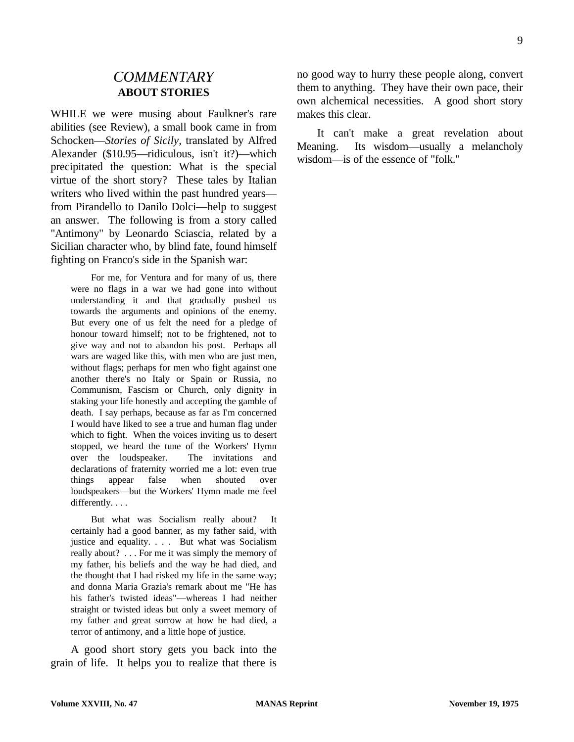#### *COMMENTARY* **ABOUT STORIES**

WHILE we were musing about Faulkner's rare abilities (see Review), a small book came in from Schocken—*Stories of Sicily,* translated by Alfred Alexander (\$10.95—ridiculous, isn't it?)—which precipitated the question: What is the special virtue of the short story? These tales by Italian writers who lived within the past hundred years from Pirandello to Danilo Dolci—help to suggest an answer. The following is from a story called "Antimony" by Leonardo Sciascia, related by a Sicilian character who, by blind fate, found himself fighting on Franco's side in the Spanish war:

For me, for Ventura and for many of us, there were no flags in a war we had gone into without understanding it and that gradually pushed us towards the arguments and opinions of the enemy. But every one of us felt the need for a pledge of honour toward himself; not to be frightened, not to give way and not to abandon his post. Perhaps all wars are waged like this, with men who are just men, without flags; perhaps for men who fight against one another there's no Italy or Spain or Russia, no Communism, Fascism or Church, only dignity in staking your life honestly and accepting the gamble of death. I say perhaps, because as far as I'm concerned I would have liked to see a true and human flag under which to fight. When the voices inviting us to desert stopped, we heard the tune of the Workers' Hymn over the loudspeaker. The invitations and declarations of fraternity worried me a lot: even true things appear false when shouted over loudspeakers—but the Workers' Hymn made me feel differently. . . .

But what was Socialism really about? It certainly had a good banner, as my father said, with justice and equality. . . . But what was Socialism really about? . . . For me it was simply the memory of my father, his beliefs and the way he had died, and the thought that I had risked my life in the same way; and donna Maria Grazia's remark about me "He has his father's twisted ideas"—whereas I had neither straight or twisted ideas but only a sweet memory of my father and great sorrow at how he had died, a terror of antimony, and a little hope of justice.

A good short story gets you back into the grain of life. It helps you to realize that there is no good way to hurry these people along, convert them to anything. They have their own pace, their own alchemical necessities. A good short story makes this clear.

It can't make a great revelation about Meaning. Its wisdom—usually a melancholy wisdom—is of the essence of "folk."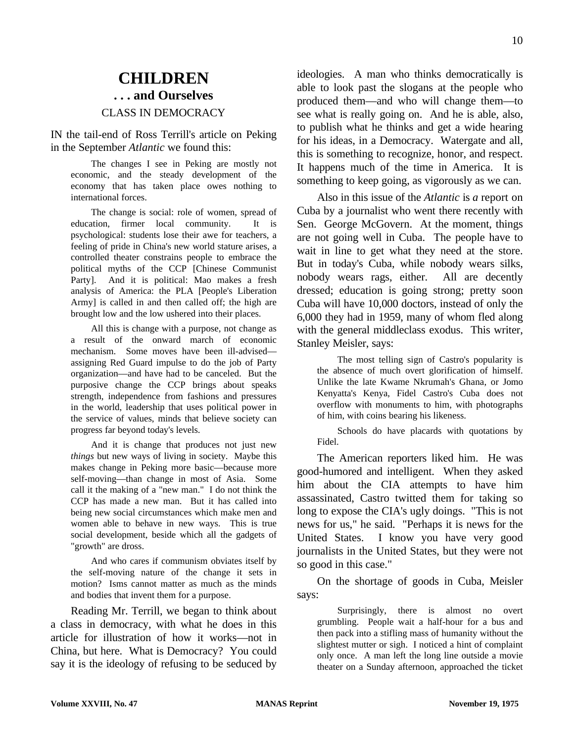## **CHILDREN . . . and Ourselves** CLASS IN DEMOCRACY

IN the tail-end of Ross Terrill's article on Peking in the September *Atlantic* we found this:

The changes I see in Peking are mostly not economic, and the steady development of the economy that has taken place owes nothing to international forces.

The change is social: role of women, spread of education, firmer local community. It is psychological: students lose their awe for teachers, a feeling of pride in China's new world stature arises, a controlled theater constrains people to embrace the political myths of the CCP [Chinese Communist Party]. And it is political: Mao makes a fresh analysis of America: the PLA [People's Liberation Army] is called in and then called off; the high are brought low and the low ushered into their places.

All this is change with a purpose, not change as a result of the onward march of economic mechanism. Some moves have been ill-advised assigning Red Guard impulse to do the job of Party organization—and have had to be canceled. But the purposive change the CCP brings about speaks strength, independence from fashions and pressures in the world, leadership that uses political power in the service of values, minds that believe society can progress far beyond today's levels.

And it is change that produces not just new *things* but new ways of living in society. Maybe this makes change in Peking more basic—because more self-moving—than change in most of Asia. Some call it the making of a "new man." I do not think the CCP has made a new man. But it has called into being new social circumstances which make men and women able to behave in new ways. This is true social development, beside which all the gadgets of "growth" are dross.

And who cares if communism obviates itself by the self-moving nature of the change it sets in motion? Isms cannot matter as much as the minds and bodies that invent them for a purpose.

Reading Mr. Terrill, we began to think about a class in democracy, with what he does in this article for illustration of how it works—not in China, but here. What is Democracy? You could say it is the ideology of refusing to be seduced by ideologies. A man who thinks democratically is able to look past the slogans at the people who produced them—and who will change them—to see what is really going on. And he is able, also, to publish what he thinks and get a wide hearing for his ideas, in a Democracy. Watergate and all, this is something to recognize, honor, and respect. It happens much of the time in America. It is something to keep going, as vigorously as we can.

Also in this issue of the *Atlantic* is *a* report on Cuba by a journalist who went there recently with Sen. George McGovern. At the moment, things are not going well in Cuba. The people have to wait in line to get what they need at the store. But in today's Cuba, while nobody wears silks, nobody wears rags, either. All are decently dressed; education is going strong; pretty soon Cuba will have 10,000 doctors, instead of only the 6,000 they had in 1959, many of whom fled along with the general middleclass exodus. This writer, Stanley Meisler, says:

The most telling sign of Castro's popularity is the absence of much overt glorification of himself. Unlike the late Kwame Nkrumah's Ghana, or Jomo Kenyatta's Kenya, Fidel Castro's Cuba does not overflow with monuments to him, with photographs of him, with coins bearing his likeness.

Schools do have placards with quotations by Fidel.

The American reporters liked him. He was good-humored and intelligent. When they asked him about the CIA attempts to have him assassinated, Castro twitted them for taking so long to expose the CIA's ugly doings. "This is not news for us," he said. "Perhaps it is news for the United States. I know you have very good journalists in the United States, but they were not so good in this case."

On the shortage of goods in Cuba, Meisler says:

Surprisingly, there is almost no overt grumbling. People wait a half-hour for a bus and then pack into a stifling mass of humanity without the slightest mutter or sigh. I noticed a hint of complaint only once. A man left the long line outside a movie theater on a Sunday afternoon, approached the ticket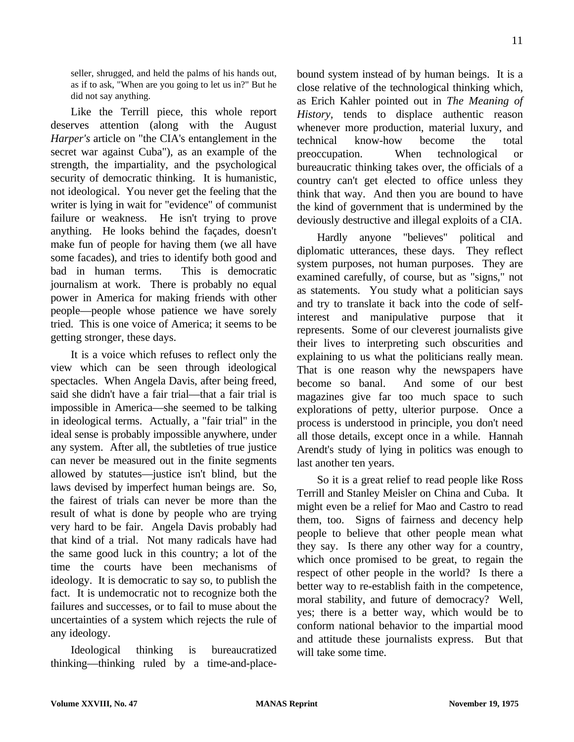seller, shrugged, and held the palms of his hands out, as if to ask, "When are you going to let us in?" But he did not say anything.

Like the Terrill piece, this whole report deserves attention (along with the August *Harper's* article on "the CIA's entanglement in the secret war against Cuba"), as an example of the strength, the impartiality, and the psychological security of democratic thinking. It is humanistic, not ideological. You never get the feeling that the writer is lying in wait for "evidence" of communist failure or weakness. He isn't trying to prove anything. He looks behind the façades, doesn't make fun of people for having them (we all have some facades), and tries to identify both good and bad in human terms. This is democratic journalism at work. There is probably no equal power in America for making friends with other people—people whose patience we have sorely tried. This is one voice of America; it seems to be getting stronger, these days.

It is a voice which refuses to reflect only the view which can be seen through ideological spectacles. When Angela Davis, after being freed, said she didn't have a fair trial—that a fair trial is impossible in America—she seemed to be talking in ideological terms. Actually, a "fair trial" in the ideal sense is probably impossible anywhere, under any system. After all, the subtleties of true justice can never be measured out in the finite segments allowed by statutes—justice isn't blind, but the laws devised by imperfect human beings are. So, the fairest of trials can never be more than the result of what is done by people who are trying very hard to be fair. Angela Davis probably had that kind of a trial. Not many radicals have had the same good luck in this country; a lot of the time the courts have been mechanisms of ideology. It is democratic to say so, to publish the fact. It is undemocratic not to recognize both the failures and successes, or to fail to muse about the uncertainties of a system which rejects the rule of any ideology.

Ideological thinking is bureaucratized thinking—thinking ruled by a time-and-placebound system instead of by human beings. It is a close relative of the technological thinking which, as Erich Kahler pointed out in *The Meaning of History,* tends to displace authentic reason whenever more production, material luxury, and technical know-how become the total preoccupation. When technological or bureaucratic thinking takes over, the officials of a country can't get elected to office unless they think that way. And then you are bound to have the kind of government that is undermined by the deviously destructive and illegal exploits of a CIA.

Hardly anyone "believes" political and diplomatic utterances, these days. They reflect system purposes, not human purposes. They are examined carefully, of course, but as "signs," not as statements. You study what a politician says and try to translate it back into the code of selfinterest and manipulative purpose that it represents. Some of our cleverest journalists give their lives to interpreting such obscurities and explaining to us what the politicians really mean. That is one reason why the newspapers have become so banal. And some of our best magazines give far too much space to such explorations of petty, ulterior purpose. Once a process is understood in principle, you don't need all those details, except once in a while. Hannah Arendt's study of lying in politics was enough to last another ten years.

So it is a great relief to read people like Ross Terrill and Stanley Meisler on China and Cuba. It might even be a relief for Mao and Castro to read them, too. Signs of fairness and decency help people to believe that other people mean what they say. Is there any other way for a country, which once promised to be great, to regain the respect of other people in the world? Is there a better way to re-establish faith in the competence, moral stability, and future of democracy? Well, yes; there is a better way, which would be to conform national behavior to the impartial mood and attitude these journalists express. But that will take some time.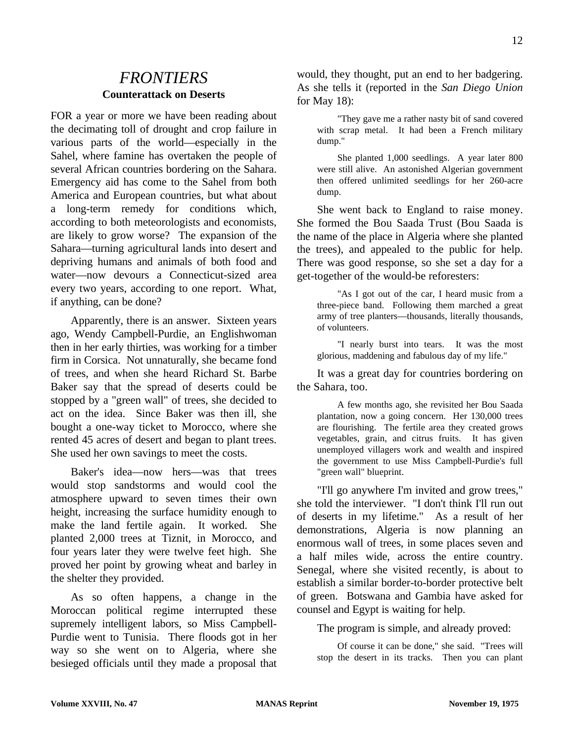## *FRONTIERS* **Counterattack on Deserts**

FOR a year or more we have been reading about the decimating toll of drought and crop failure in various parts of the world—especially in the Sahel, where famine has overtaken the people of several African countries bordering on the Sahara. Emergency aid has come to the Sahel from both America and European countries, but what about a long-term remedy for conditions which, according to both meteorologists and economists, are likely to grow worse? The expansion of the Sahara—turning agricultural lands into desert and depriving humans and animals of both food and water—now devours a Connecticut-sized area every two years, according to one report. What, if anything, can be done?

Apparently, there is an answer. Sixteen years ago, Wendy Campbell-Purdie, an Englishwoman then in her early thirties, was working for a timber firm in Corsica. Not unnaturally, she became fond of trees, and when she heard Richard St. Barbe Baker say that the spread of deserts could be stopped by a "green wall" of trees, she decided to act on the idea. Since Baker was then ill, she bought a one-way ticket to Morocco, where she rented 45 acres of desert and began to plant trees. She used her own savings to meet the costs.

Baker's idea—now hers—was that trees would stop sandstorms and would cool the atmosphere upward to seven times their own height, increasing the surface humidity enough to make the land fertile again. It worked. She planted 2,000 trees at Tiznit, in Morocco, and four years later they were twelve feet high. She proved her point by growing wheat and barley in the shelter they provided.

As so often happens, a change in the Moroccan political regime interrupted these supremely intelligent labors, so Miss Campbell-Purdie went to Tunisia. There floods got in her way so she went on to Algeria, where she besieged officials until they made a proposal that would, they thought, put an end to her badgering. As she tells it (reported in the *San Diego Union* for May 18):

"They gave me a rather nasty bit of sand covered with scrap metal. It had been a French military dump."

She planted 1,000 seedlings. A year later 800 were still alive. An astonished Algerian government then offered unlimited seedlings for her 260-acre dump.

She went back to England to raise money. She formed the Bou Saada Trust (Bou Saada is the name of the place in Algeria where she planted the trees), and appealed to the public for help. There was good response, so she set a day for a get-together of the would-be reforesters:

"As I got out of the car, I heard music from a three-piece band. Following them marched a great army of tree planters—thousands, literally thousands, of volunteers.

"I nearly burst into tears. It was the most glorious, maddening and fabulous day of my life."

It was a great day for countries bordering on the Sahara, too.

A few months ago, she revisited her Bou Saada plantation, now a going concern. Her 130,000 trees are flourishing. The fertile area they created grows vegetables, grain, and citrus fruits. It has given unemployed villagers work and wealth and inspired the government to use Miss Campbell-Purdie's full "green wall" blueprint.

"I'll go anywhere I'm invited and grow trees," she told the interviewer. "I don't think I'll run out of deserts in my lifetime." As a result of her demonstrations, Algeria is now planning an enormous wall of trees, in some places seven and a half miles wide, across the entire country. Senegal, where she visited recently, is about to establish a similar border-to-border protective belt of green. Botswana and Gambia have asked for counsel and Egypt is waiting for help.

The program is simple, and already proved:

Of course it can be done," she said. "Trees will stop the desert in its tracks. Then you can plant